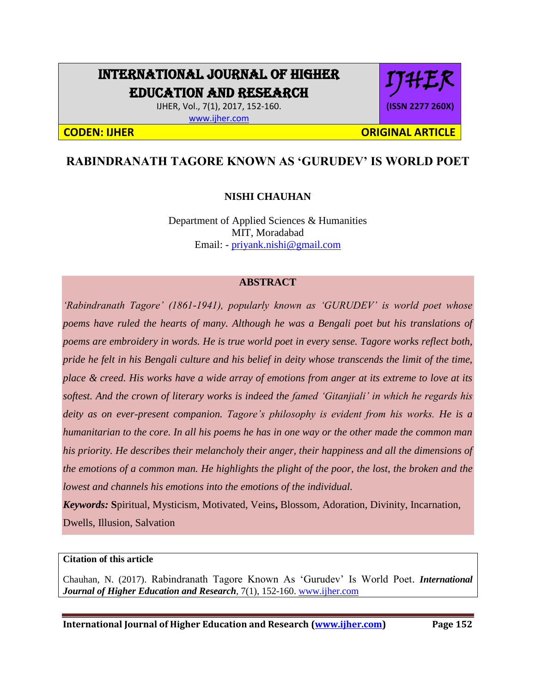# INTERNATIONAL JOURNAL OF HIGHER EDUCATION AND RESEARCH

IJHER, Vol., 7(1), 2017, 152-160. [www.ijher.com](http://www.ijher.com/)

IJHER **(ISSN 2277 260X)**

**CODEN: IJHER ORIGINAL ARTICLE** 

# **RABINDRANATH TAGORE KNOWN AS 'GURUDEV' IS WORLD POET**

# **NISHI CHAUHAN**

Department of Applied Sciences & Humanities MIT, Moradabad Email: - [priyank.nishi@gmail.com](mailto:priyank.nishi@gmail.com)

#### **ABSTRACT**

*'Rabindranath Tagore' (1861-1941), popularly known as 'GURUDEV' is world poet whose poems have ruled the hearts of many. Although he was a Bengali poet but his translations of poems are embroidery in words. He is true world poet in every sense. Tagore works reflect both, pride he felt in his Bengali culture and his belief in deity whose transcends the limit of the time, place & creed. His works have a wide array of emotions from anger at its extreme to love at its softest. And the crown of literary works is indeed the famed 'Gitanjiali' in which he regards his deity as on ever-present companion. Tagore's philosophy is evident from his works. He is a humanitarian to the core. In all his poems he has in one way or the other made the common man his priority. He describes their melancholy their anger, their happiness and all the dimensions of the emotions of a common man. He highlights the plight of the poor, the lost, the broken and the lowest and channels his emotions into the emotions of the individual.*

*Keywords:* **S**piritual, Mysticism, Motivated, Veins**,** Blossom, Adoration, Divinity, Incarnation, Dwells, Illusion, Salvation

### **Citation of this article**

Chauhan, N. (2017). Rabindranath Tagore Known As 'Gurudev' Is World Poet. *International Journal of Higher Education and Research,* 7(1), 152-160. [www.ijher.com](http://www.ijher.com/)

**International Journal of Higher Education and Research [\(www.ijher.com\)](http://www.ijher.com/) Page 152**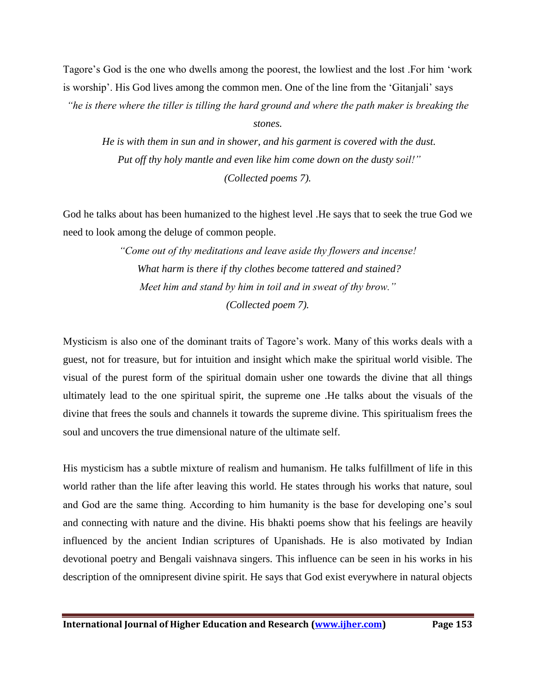Tagore's God is the one who dwells among the poorest, the lowliest and the lost .For him 'work is worship'. His God lives among the common men. One of the line from the 'Gitanjali' says

*"he is there where the tiller is tilling the hard ground and where the path maker is breaking the* 

#### *stones.*

*He is with them in sun and in shower, and his garment is covered with the dust. Put off thy holy mantle and even like him come down on the dusty soil!" (Collected poems 7).*

God he talks about has been humanized to the highest level .He says that to seek the true God we need to look among the deluge of common people.

> *"Come out of thy meditations and leave aside thy flowers and incense! What harm is there if thy clothes become tattered and stained? Meet him and stand by him in toil and in sweat of thy brow." (Collected poem 7).*

Mysticism is also one of the dominant traits of Tagore's work. Many of this works deals with a guest, not for treasure, but for intuition and insight which make the spiritual world visible. The visual of the purest form of the spiritual domain usher one towards the divine that all things ultimately lead to the one spiritual spirit, the supreme one .He talks about the visuals of the divine that frees the souls and channels it towards the supreme divine. This spiritualism frees the soul and uncovers the true dimensional nature of the ultimate self.

His mysticism has a subtle mixture of realism and humanism. He talks fulfillment of life in this world rather than the life after leaving this world. He states through his works that nature, soul and God are the same thing. According to him humanity is the base for developing one's soul and connecting with nature and the divine. His bhakti poems show that his feelings are heavily influenced by the ancient Indian scriptures of Upanishads. He is also motivated by Indian devotional poetry and Bengali vaishnava singers. This influence can be seen in his works in his description of the omnipresent divine spirit. He says that God exist everywhere in natural objects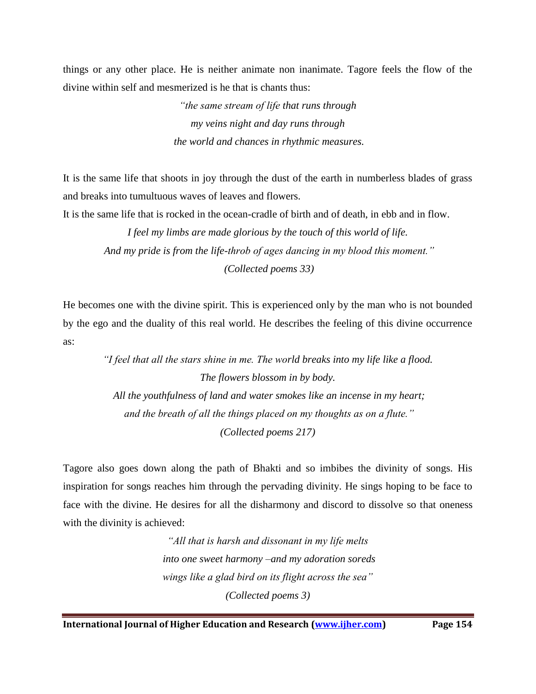things or any other place. He is neither animate non inanimate. Tagore feels the flow of the divine within self and mesmerized is he that is chants thus:

> *"the same stream of life that runs through my veins night and day runs through the world and chances in rhythmic measures.*

It is the same life that shoots in joy through the dust of the earth in numberless blades of grass and breaks into tumultuous waves of leaves and flowers.

It is the same life that is rocked in the ocean-cradle of birth and of death, in ebb and in flow.

*I feel my limbs are made glorious by the touch of this world of life. And my pride is from the life-throb of ages dancing in my blood this moment." (Collected poems 33)*

He becomes one with the divine spirit. This is experienced only by the man who is not bounded by the ego and the duality of this real world. He describes the feeling of this divine occurrence as:

> *"I feel that all the stars shine in me. The world breaks into my life like a flood. The flowers blossom in by body. All the youthfulness of land and water smokes like an incense in my heart; and the breath of all the things placed on my thoughts as on a flute." (Collected poems 217)*

Tagore also goes down along the path of Bhakti and so imbibes the divinity of songs. His inspiration for songs reaches him through the pervading divinity. He sings hoping to be face to face with the divine. He desires for all the disharmony and discord to dissolve so that oneness with the divinity is achieved:

> *"All that is harsh and dissonant in my life melts into one sweet harmony –and my adoration soreds wings like a glad bird on its flight across the sea" (Collected poems 3)*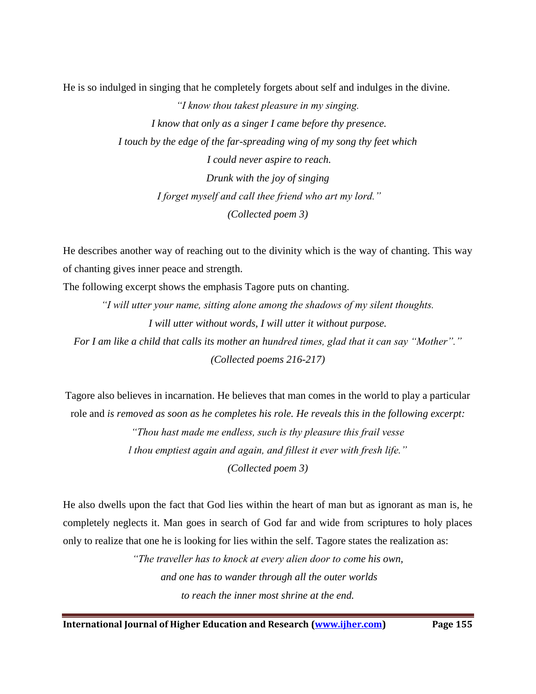He is so indulged in singing that he completely forgets about self and indulges in the divine.

*"I know thou takest pleasure in my singing. I know that only as a singer I came before thy presence. I touch by the edge of the far-spreading wing of my song thy feet which I could never aspire to reach. Drunk with the joy of singing I forget myself and call thee friend who art my lord." (Collected poem 3)*

He describes another way of reaching out to the divinity which is the way of chanting. This way of chanting gives inner peace and strength.

The following excerpt shows the emphasis Tagore puts on chanting.

*"I will utter your name, sitting alone among the shadows of my silent thoughts. I will utter without words, I will utter it without purpose. For I am like a child that calls its mother an hundred times, glad that it can say "Mother"." (Collected poems 216-217)*

Tagore also believes in incarnation. He believes that man comes in the world to play a particular role and *is removed as soon as he completes his role. He reveals this in the following excerpt:*

> *"Thou hast made me endless, such is thy pleasure this frail vesse l thou emptiest again and again, and fillest it ever with fresh life."*

> > *(Collected poem 3)*

He also dwells upon the fact that God lies within the heart of man but as ignorant as man is, he completely neglects it. Man goes in search of God far and wide from scriptures to holy places only to realize that one he is looking for lies within the self. Tagore states the realization as:

> *"The traveller has to knock at every alien door to come his own, and one has to wander through all the outer worlds to reach the inner most shrine at the end.*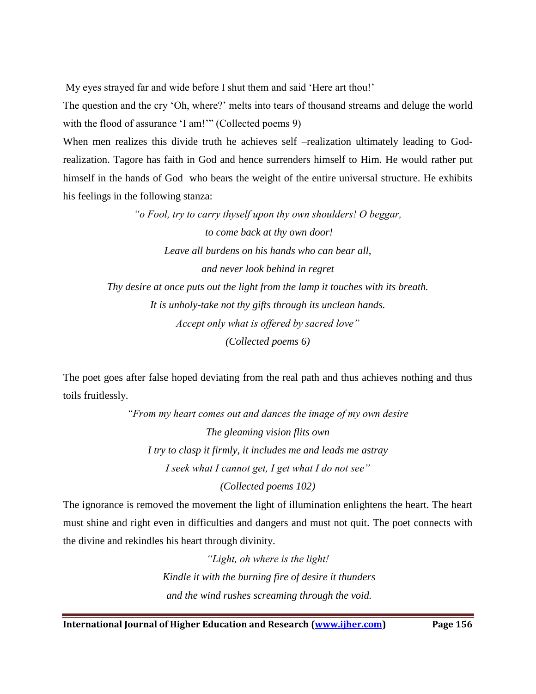My eyes strayed far and wide before I shut them and said 'Here art thou!'

The question and the cry 'Oh, where?' melts into tears of thousand streams and deluge the world with the flood of assurance 'I am!'" (Collected poems 9)

When men realizes this divide truth he achieves self –realization ultimately leading to Godrealization. Tagore has faith in God and hence surrenders himself to Him. He would rather put himself in the hands of God who bears the weight of the entire universal structure. He exhibits his feelings in the following stanza:

> *"o Fool, try to carry thyself upon thy own shoulders! O beggar, to come back at thy own door! Leave all burdens on his hands who can bear all, and never look behind in regret Thy desire at once puts out the light from the lamp it touches with its breath. It is unholy-take not thy gifts through its unclean hands. Accept only what is offered by sacred love" (Collected poems 6)*

The poet goes after false hoped deviating from the real path and thus achieves nothing and thus toils fruitlessly.

> *"From my heart comes out and dances the image of my own desire The gleaming vision flits own I try to clasp it firmly, it includes me and leads me astray I seek what I cannot get, I get what I do not see"*

*(Collected poems 102)*

The ignorance is removed the movement the light of illumination enlightens the heart. The heart must shine and right even in difficulties and dangers and must not quit. The poet connects with the divine and rekindles his heart through divinity.

> *"Light, oh where is the light! Kindle it with the burning fire of desire it thunders and the wind rushes screaming through the void.*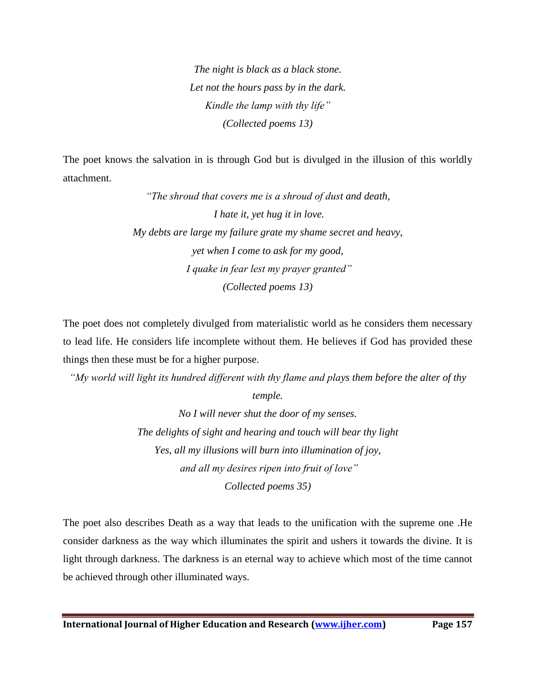*The night is black as a black stone. Let not the hours pass by in the dark. Kindle the lamp with thy life" (Collected poems 13)*

The poet knows the salvation in is through God but is divulged in the illusion of this worldly attachment.

> *"The shroud that covers me is a shroud of dust and death, I hate it, yet hug it in love. My debts are large my failure grate my shame secret and heavy, yet when I come to ask for my good, I quake in fear lest my prayer granted" (Collected poems 13)*

The poet does not completely divulged from materialistic world as he considers them necessary to lead life. He considers life incomplete without them. He believes if God has provided these things then these must be for a higher purpose.

*"My world will light its hundred different with thy flame and plays them before the alter of thy temple.*

> *No I will never shut the door of my senses. The delights of sight and hearing and touch will bear thy light Yes, all my illusions will burn into illumination of joy, and all my desires ripen into fruit of love" Collected poems 35)*

The poet also describes Death as a way that leads to the unification with the supreme one .He consider darkness as the way which illuminates the spirit and ushers it towards the divine. It is light through darkness. The darkness is an eternal way to achieve which most of the time cannot be achieved through other illuminated ways.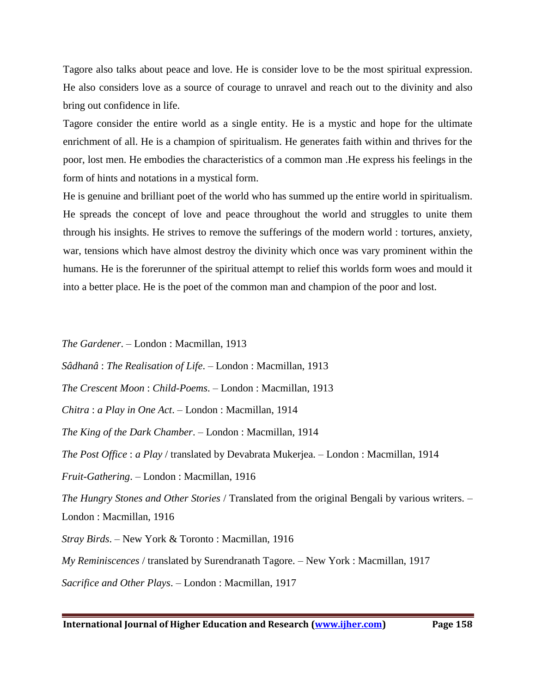Tagore also talks about peace and love. He is consider love to be the most spiritual expression. He also considers love as a source of courage to unravel and reach out to the divinity and also bring out confidence in life.

Tagore consider the entire world as a single entity. He is a mystic and hope for the ultimate enrichment of all. He is a champion of spiritualism. He generates faith within and thrives for the poor, lost men. He embodies the characteristics of a common man .He express his feelings in the form of hints and notations in a mystical form.

He is genuine and brilliant poet of the world who has summed up the entire world in spiritualism. He spreads the concept of love and peace throughout the world and struggles to unite them through his insights. He strives to remove the sufferings of the modern world : tortures, anxiety, war, tensions which have almost destroy the divinity which once was vary prominent within the humans. He is the forerunner of the spiritual attempt to relief this worlds form woes and mould it into a better place. He is the poet of the common man and champion of the poor and lost.

*The Gardener*. – London : Macmillan, 1913

*Sâdhanâ* : *The Realisation of Life*. – London : Macmillan, 1913

*The Crescent Moon* : *Child-Poems*. – London : Macmillan, 1913

*Chitra* : *a Play in One Act*. – London : Macmillan, 1914

*The King of the Dark Chamber*. – London : Macmillan, 1914

*The Post Office* : *a Play* / translated by Devabrata Mukerjea. – London : Macmillan, 1914

*Fruit-Gathering*. – London : Macmillan, 1916

*The Hungry Stones and Other Stories* / Translated from the original Bengali by various writers. – London : Macmillan, 1916

*Stray Birds*. – New York & Toronto : Macmillan, 1916

*My Reminiscences* / translated by Surendranath Tagore. – New York : Macmillan, 1917

*Sacrifice and Other Plays*. – London : Macmillan, 1917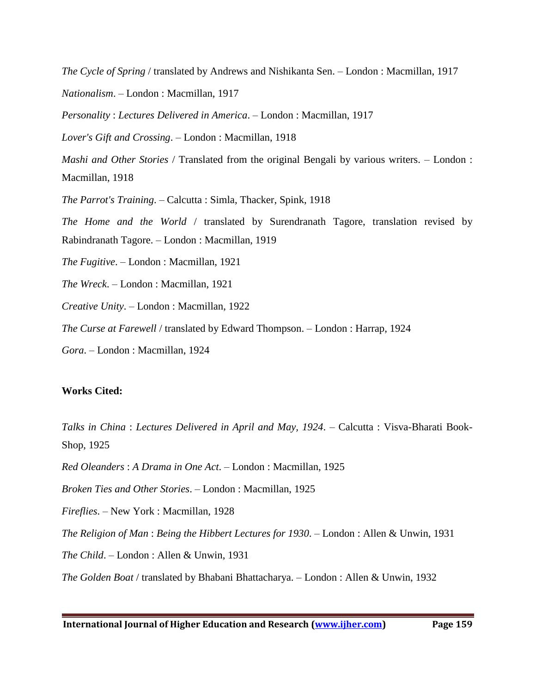*The Cycle of Spring* / translated by Andrews and Nishikanta Sen. – London : Macmillan, 1917

*Nationalism*. – London : Macmillan, 1917

*Personality* : *Lectures Delivered in America*. – London : Macmillan, 1917

*Lover's Gift and Crossing*. – London : Macmillan, 1918

*Mashi and Other Stories* / Translated from the original Bengali by various writers. – London : Macmillan, 1918

*The Parrot's Training*. – Calcutta : Simla, Thacker, Spink, 1918

*The Home and the World* / translated by Surendranath Tagore, translation revised by Rabindranath Tagore. – London : Macmillan, 1919

*The Fugitive*. – London : Macmillan, 1921

*The Wreck*. – London : Macmillan, 1921

*Creative Unity*. – London : Macmillan, 1922

*The Curse at Farewell* / translated by Edward Thompson. – London : Harrap, 1924

*Gora*. – London : Macmillan, 1924

#### **Works Cited:**

*Talks in China* : *Lectures Delivered in April and May, 1924*. – Calcutta : Visva-Bharati Book-Shop, 1925

*Red Oleanders* : *A Drama in One Act*. – London : Macmillan, 1925

*Broken Ties and Other Stories*. – London : Macmillan, 1925

*Fireflies*. – New York : Macmillan, 1928

*The Religion of Man* : *Being the Hibbert Lectures for 1930*. – London : Allen & Unwin, 1931

*The Child*. – London : Allen & Unwin, 1931

*The Golden Boat* / translated by Bhabani Bhattacharya. – London : Allen & Unwin, 1932